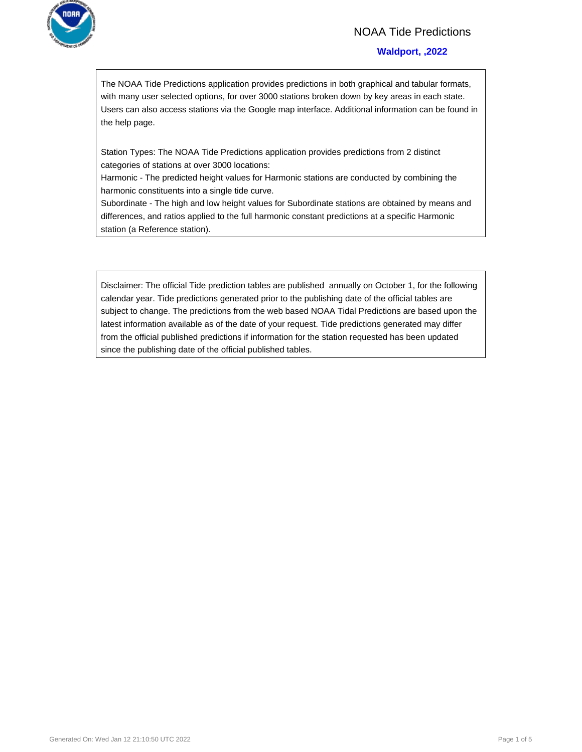

## NOAA Tide Predictions

#### **Waldport, ,2022**

The NOAA Tide Predictions application provides predictions in both graphical and tabular formats, with many user selected options, for over 3000 stations broken down by key areas in each state. Users can also access stations via the Google map interface. Additional information can be found in the help page.

Station Types: The NOAA Tide Predictions application provides predictions from 2 distinct categories of stations at over 3000 locations:

Harmonic - The predicted height values for Harmonic stations are conducted by combining the harmonic constituents into a single tide curve.

Subordinate - The high and low height values for Subordinate stations are obtained by means and differences, and ratios applied to the full harmonic constant predictions at a specific Harmonic station (a Reference station).

Disclaimer: The official Tide prediction tables are published annually on October 1, for the following calendar year. Tide predictions generated prior to the publishing date of the official tables are subject to change. The predictions from the web based NOAA Tidal Predictions are based upon the latest information available as of the date of your request. Tide predictions generated may differ from the official published predictions if information for the station requested has been updated since the publishing date of the official published tables.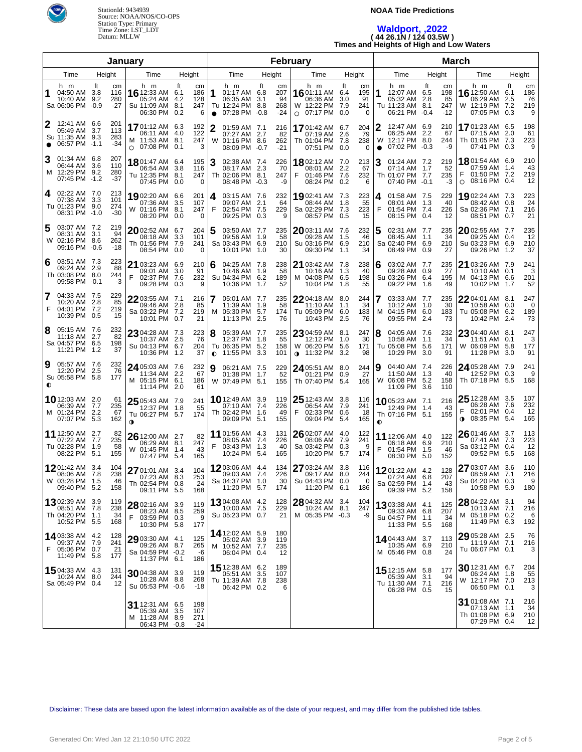

#### **NOAA Tide Predictions**

# **Waldport, ,2022 ( 44 26.1N / 124 03.5W ) Times and Heights of High and Low Waters**

| January                                                                                                     |                                                                                          |                                   |                                                                                  | February                                   |                                                                       | <b>March</b>                                                  |                                                                                      |                                       |                                                                       |                                                 |
|-------------------------------------------------------------------------------------------------------------|------------------------------------------------------------------------------------------|-----------------------------------|----------------------------------------------------------------------------------|--------------------------------------------|-----------------------------------------------------------------------|---------------------------------------------------------------|--------------------------------------------------------------------------------------|---------------------------------------|-----------------------------------------------------------------------|-------------------------------------------------|
| Time<br>Height                                                                                              | Height<br>Time                                                                           |                                   | Time                                                                             | Height                                     | Time                                                                  | Height                                                        | Time                                                                                 | Height                                | Time                                                                  | Height                                          |
| h m<br>ft<br>cm<br>04:50 AM<br>116<br>1<br>-3.8<br>10:40 AM<br>9.2<br>280<br>$-27$<br>Sa 06:06 PM -0.9      | ft<br>h m<br>16 12:33 AM 6.1<br>05:24 AM<br>4.2<br>Su 11:09 AM<br>8.1<br>06:30 PM<br>0.2 | cm<br>186<br>1<br>128<br>247<br>6 | h m<br>01:17 AM 6.8<br>06:35 AM<br>Tu 12:24 PM 8.8<br>07:28 PM -0.8<br>$\bullet$ | ft<br>cm<br>207<br>94<br>3.1<br>268<br>-24 | h m<br><b>16</b> 01:11 AM 6.4<br>06:36 AM<br>W 12:22 PM<br>○ 07:17 PM | ft<br>cm<br>195<br>91<br>3.0<br>241<br>7.9<br>0.0<br>$\Omega$ | h m<br>1<br>12:07 AM 6.5<br>05:32 AM 2.8<br>Tu 11:23 AM 8.1<br>06:21 PM -0.4         | ft<br>cm<br>198<br>85<br>247<br>$-12$ | h m<br>16 12:50 AM<br>06:29 AM<br>W 12:19 PM 7.2<br>07:05 PM 0.3      | ft<br>cm<br>186<br>6.1<br>2.5<br>76<br>219<br>9 |
| 12:41 AM 6.6<br>2<br>201<br>05:49 AM<br>3.7<br>113<br>Su 11:35 AM 9.3<br>283<br>$-34$<br>06:57 PM<br>$-1.1$ | 1701:12 AM 6.3<br>06:11 AM<br>4.0<br>M 11:53 AM 8.1<br>$\circ$ 07:08 PM 0.1              | 192<br>2<br>122<br>247<br>3       | 01:59 AM 7.1<br>07:27 AM 2.7<br>W 01:16 PM 8.6<br>08:09 PM -0.7                  | 216<br>82<br>262<br>$-21$                  | <b>17</b> 01:42 AM<br>07:19 AM<br>Th 01:04 PM<br>07:51 PM             | 204<br>6.7<br>79<br>2.6<br>238<br>7.8<br>0.0<br>$\Omega$      | 12:47 AM 6.9<br>2<br>06:25 AM 2.2<br>W<br>12:17 PM 8.0<br>07:02 PM -0.3<br>$\bullet$ | 210<br>67<br>244<br>-9                | 1701:23 AM 6.5<br>07:15 AM<br>Th 01:05 PM 7.3<br>07:41 PM 0.3         | 198<br>61<br>2.0<br>223<br>9                    |
| 3<br>01:34 AM 6.8<br>207<br>06:44 AM 3.6<br>110<br>M 12:29 PM<br>9.2<br>280<br>07:45 PM -1.2<br>-37         | 1801:47 AM<br>6.4<br>06:54 AM<br>3.8<br>Tu 12:35 PM<br>8.1<br>07:45 PM<br>0.0            | 195<br>3<br>116<br>247<br>0       | 02:38 AM 7.4<br>08:17 AM 2.3<br>Th 02:06 PM 8.1<br>08:48 PM -0.3                 | 226<br>70<br>247<br>-9                     | 1802:12 AM 7.0<br>08:01 AM<br>F<br>01:46 PM 7.6<br>08:24 PM           | 213<br>2.2<br>67<br>232<br>0.2<br>6                           | 3<br>01:24 AM 7.2<br>07:14 AM 1.7<br>Th 01:07 PM 7.7<br>07:40 PM -0.1                | 219<br>52<br>235<br>-3                | 1801:54 AM 6.9<br>07:59 AM<br>01:50 PM 7.2<br>08:16 PM 0.4<br>$\circ$ | 210<br>43<br>-1.4<br>219<br>12                  |
| 02:22 AM 7.0<br>213<br>4<br>07:38 AM 3.3<br>101<br>Tu 01:23 PM 9.0<br>274<br>08:31 PM -1.0<br>$-30$         | 19 02:20 AM<br>6.6<br>07:36 AM<br>3.5<br>W 01:16 PM<br>8.1<br>08:20 PM<br>0.0            | 201<br>4<br>107<br>247<br>0       | 03:15 AM 7.6<br>09:07 AM 2.1<br>F<br>02:54 PM 7.5<br>09:25 PM 0.3                | 232<br>64<br>229<br>9                      | 1902:41 AM 7.3<br>08:44 AM<br>Sa 02:29 PM<br>08:57 PM                 | 223<br>55<br>1.8<br>7.3<br>223<br>15<br>0.5                   | 01:58 AM 7.5<br>4<br>08:01 AM 1.3<br>F<br>01:54 PM 7.4<br>08:15 PM 0.4               | 229<br>40<br>226<br>12                | 1902:24 AM 7.3<br>08:42 AM 0.8<br>Sa 02:36 PM<br>08:51 PM             | 223<br>24<br>- 7.1<br>216<br>21<br>0.7          |
| 5<br>03:07 AM 7.2<br>219<br>08:31 AM 3.1<br>94<br>W 02:16 PM 8.6<br>262<br>09:16 PM -0.6<br>$-18$           | $2002:52$ AM<br>6.7<br>08:18 AM<br>3.3<br>Th 01:56 PM<br>7.9<br>08:54 PM<br>0.0          | 204<br>5<br>101<br>241<br>0       | 03:50 AM 7.7<br>09:56 AM 1.9<br>Sa 03:43 PM 6.9<br>10:01 PM 1.0                  | 235<br>58<br>210<br>30                     | 2003:11 AM 7.6<br>09:28 AM<br>Su 03:16 PM 6.9<br>09:30 PM             | 232<br>1.5<br>46<br>210<br>34<br>1.1                          | 5<br>02:31 AM 7.7<br>08:45 AM 1.1<br>Sa 02:40 PM 6.9<br>08:49 PM 0.9                 | 235<br>34<br>210<br>27                | 2002:55 AM 7.7<br>09:25 AM 0.4<br>Su 03:23 PM 6.9<br>09:26 PM         | 235<br>12<br>210<br>1.2<br>37                   |
| 223<br>03:51 AM 7.3<br>6<br>09:24 AM 2.9<br>88<br>Th 03:08 PM 8.0<br>244<br>-3<br>09:58 PM -0.1             | 21 03:23 AM 6.9<br>09:01 AM<br>3.0<br>F<br>02:37 PM<br>7.6<br>09:28 PM<br>0.3            | 210<br>6<br>91<br>232<br>9        | 04:25 AM 7.8<br>10:46 AM 1.9<br>Su 04:34 PM 6.2<br>10:36 PM 1.7                  | 238<br>58<br>189<br>52                     | 21 03:42 AM 7.8<br>10:16 AM<br>M 04:08 PM 6.5<br>10:04 PM             | 238<br>1.3<br>40<br>198<br>55<br>1.8                          | 03:02 AM 7.7<br>6<br>09:28 AM 0.9<br>Su 03:26 PM 6.4<br>09:22 PM 1.6                 | 235<br>27<br>195<br>49                | 21 03:26 AM 7.9<br>10:10 AM 0.1<br>M 04:13 PM 6.6<br>10:02 PM         | 241<br>3<br>201<br>52<br>-1.7                   |
| 7<br>04:33 AM 7.5<br>229<br>85<br>10:20 AM<br>2.8<br>F<br>04:01 PM<br>7.2<br>219<br>10:39 PM<br>0.5<br>15   | 2203:55 AM 7.1<br>09:46 AM<br>2.8<br>Sa 03:22 PM<br>7.2<br>10:01 PM 0.7                  | 216<br>85<br>219<br>21            | 05:01 AM 7.7<br>11:39 AM 1.9<br>M 05:30 PM 5.7<br>11:13 PM 2.5                   | 235<br>58<br>174<br>76                     | 22 04:18 AM 8.0<br>11:10 AM<br>Tu 05:09 PM<br>10:43 PM                | 244<br>34<br>1.1<br>6.0<br>183<br>2.5<br>76                   | 03:33 AM 7.7<br>10:12 AM 1.0<br>04:15 PM 6.0<br>м<br>09:55 PM 2.4                    | 235<br>30<br>183<br>73                | $22$ 04:01 AM 8.1<br>10:58 AM<br>Tu 05:08 PM<br>10:42 PM              | 247<br>0.0<br>0<br>6.2<br>189<br>2.4<br>73      |
| 8<br>232<br>05:15 AM 7.6<br>82<br>11:18 AM 2.7<br>Sa 04:57 PM 6.5<br>198<br>11:21 PM<br>37<br>1.2           | 23 04:28 AM 7.3<br>10:37 AM 2.5<br>Su 04:13 PM 6.7<br>10:36 PM<br>1.2                    | 223<br>8<br>76<br>204<br>37       | 05:39 AM 7.7<br>12:37 PM 1.8<br>Tu 06:35 PM 5.2<br>11:55 PM 3.3<br>$\bullet$     | 235<br>55<br>158<br>101                    | 23 04:59 AM 8.1<br>12:12 PM<br>W 06:20 PM<br>∩ 11:32 PM               | 247<br>30<br>1.0<br>5.6<br>171<br>3.2<br>98                   | 8<br>04:05 AM 7.6<br>10:58 AM 1.1<br>Tu 05:08 PM 5.6<br>10:29 PM                     | 232<br>34<br>171<br>91<br>-3.0        | 23 04:40 AM 8.1<br>11:51 AM<br>W 06:09 PM<br>11:28 PM                 | 247<br>0.1<br>3<br>5.8<br>177<br>91<br>3.0      |
| 232<br>9<br>05:57 AM 7.6<br>76<br>12:20 PM<br>2.5<br>Su 05:58 PM 5.8<br>177<br>$\bullet$                    | 24 05:03 AM 7.6<br>11:34 AM<br>-2.2<br>M 05:15 PM 6.1<br>11:14 PM 2.0                    | 232<br>9<br>67<br>186<br>61       | 06:21 AM 7.5<br>01:38 PM 1.7<br>W 07:49 PM 5.1                                   | 229<br>52<br>155                           | $24$ 05:51 AM<br>01:21 PM<br>Th 07:40 PM                              | 8.0<br>244<br>27<br>0.9<br>5.4<br>165                         | 9<br>04:40 AM 7.4<br>11:50 AM 1.3<br>W<br>06:08 PM 5.2<br>11:09 PM 3.6               | 226<br>40<br>158<br>110               | 24 05:28 AM 7.9<br>12:52 PM 0.3<br>Th 07:18 PM 5.5                    | 241<br>9<br>168                                 |
| <b>10</b> 12:03 AM 2.0<br>61<br>06:39 AM<br>-7.7<br>235<br>M 01:24 PM<br>-2.2<br>67<br>07:07 PM 5.3<br>162  | $2505:43$ AM 7.9<br>12:37 PM 1.8<br>Tu 06:27 PM 5.7<br>$\bullet$                         | 241<br>55<br>174                  | <b>10</b> 12:49 AM 3.9<br>07:10 AM 7.4<br>Th 02:42 PM 1.6<br>09:09 PM 5.1        | 119<br>226<br>49<br>155                    | $25$ 12:43 AM<br>06:54 AM 7.9<br>02:33 PM 0.6<br>F.<br>09:04 PM 5.4   | 3.8<br>116<br>241<br>18<br>165                                | 1005:23 AM 7.1<br>12:49 PM 1.4<br>Th 07:16 PM 5.1<br>$\bullet$                       | 216<br>43<br>155                      | 25 12:28 AM 3.5<br>06:28 AM 7.6<br>02:01 PM<br>08:35 PM<br>$\bullet$  | 107<br>232<br>0.4<br>12<br>165<br>5.4           |
| 11 12:50 AM 2.7<br>82<br>235<br>07:22 AM<br>7.7<br>Tu 02:28 PM<br>- 1.9<br>58<br>08:22 PM 5.1<br>155        | 26 12:00 AM 2.7<br>06:29 AM 8.1<br>W 01:45 PM<br>1.4<br>07:47 PM 5.4                     | 82<br>247<br>43<br>165            | 11 01:56 AM 4.3<br>08:05 AM 7.4<br>F<br>03:43 PM 1.3<br>10:24 PM 5.4             | 131<br>226<br>40<br>165                    | 26 02:07 AM 4.0<br>08:06 AM<br>Sa 03:42 PM<br>10:20 PM                | 122<br>7.9<br>241<br>0.3<br>-9<br>5.7<br>174                  | 11 12:06 AM 4.0<br>06:18 AM 6.9<br>F<br>01:54 PM 1.5<br>08:30 PM 5.0                 | 122<br>210<br>-46<br>152              | $26$ 01:46 AM 3.7<br>07:41 AM<br>Sa 03:12 PM<br>09:52 PM 5.5          | 113<br>73<br>223<br>0.4<br>12<br>168            |
| 1201:42 AM 3.4<br>104<br>08:06 AM<br>7.8<br>238<br>W 03:28 PM 1.5<br>46<br>09:40 PM 5.2<br>158              | 27 01:01 AM 3.4<br>07:23 AM 8.3<br>Th 02:54 PM 0.8<br>09:11 PM 5.5                       | 104<br>253<br>24<br>168           | 1203:06 AM 4.4<br>09:03 AM 7.4<br>Sa 04:37 PM 1.0<br>11:20 PM 5.7                | 134<br>226<br>30<br>174                    | 27 03:24 AM<br>09:17 AM 8.0<br>Su 04:43 PM 0.0<br>11:20 PM 6.1        | 3.8<br>116<br>244<br>-0<br>186                                | 1201:22 AM 4.2<br>07:24 AM<br>Sa 02:59 PM 1.4<br>09:39 PM 5.2                        | 128<br>6.8<br>207<br>43<br>158        | 27 03:07 AM 3.6<br>08:59 AM<br>Su 04:20 PM 0.3<br>10:58 PM 5.9        | 110<br>216<br>-7.1<br>9<br>180                  |
| 1302:39 AM 3.9<br>119<br>238<br>08:51 AM 7.8<br>34<br>Th 04:20 PM 1.1<br>10:52 PM 5.5<br>168                | 28 02:16 AM 3.9<br>08:23 AM 8.5<br>F<br>03:59 PM 0.3<br>10:30 PM 5.8                     | 119<br>259<br>9<br>177            | 1304:08 AM 4.2<br>10:00 AM 7.5<br>Su 05:23 PM 0.7                                | 128<br>229<br>21                           | 28 04:32 AM 3.4<br>10:24 AM 8.1<br>M 05:35 PM -0.3                    | 104<br>247<br>-9                                              | 1303:38 AM 4.1<br>09:33 AM 6.8<br>Su 04:57 PM 1.1<br>11:33 PM 5.5                    | 125<br>207<br>34<br>168               | 28 04:22 AM 3.1<br>10:13 AM 7.1<br>M 05:18 PM 0.2<br>11:49 PM 6.3     | 94<br>216<br>6<br>192                           |
| 1403:38 AM 4.2<br>128<br>09:37 AM 7.9<br>241<br>F<br>05:06 PM 0.7<br>21<br>11:49 PM 5.8<br>177              | 29 03:30 AM 4.1<br>09:26 AM 8.7<br>Sa 04:59 PM -0.2<br>11:37 PM 6.1                      | 125<br>265<br>-6<br>186           | 14 12:02 AM 5.9<br>05:02 AM 3.9<br>10:52 AM 7.7<br>м<br>06:04 PM 0.4             | 180<br>119<br>235<br>12                    |                                                                       |                                                               | 14 04:43 AM 3.7<br>10:35 AM 6.9<br>M 05:46 PM 0.8                                    | 113<br>210<br>24                      | 29 05:28 AM 2.5<br>11:19 AM 7.1<br>Tu 06:07 PM 0.1                    | 76<br>216<br>3                                  |
| 1504:33 AM 4.3<br>131<br>10:24 AM 8.0<br>244<br>Sa 05:49 PM 0.4<br>12                                       | 3004:38 AM 3.9<br>10:28 AM 8.8<br>Su 05:53 PM -0.6                                       | 119<br>268<br>-18                 | 15 12:38 AM 6.2<br>05:51 AM 3.5<br>Tu 11:39 AM 7.8<br>06:42 PM 0.2               | 189<br>107<br>238<br>6                     |                                                                       |                                                               | <b>15</b> 12:15 AM 5.8<br>05:39 AM 3.1<br>Tu 11:30 AM 7.1<br>06:28 PM 0.5            | 177<br>94<br>216<br>15                | $30$ 12:31 AM 6.7<br>06:24 AM<br>W 12:17 PM 7.0<br>06:50 PM 0.1       | 204<br>55<br>1.8<br>213<br>3                    |
|                                                                                                             | 31 12:31 AM 6.5<br>05:39 AM<br>3.5<br>M 11:28 AM 8.9<br>06:43 PM -0.8                    | 198<br>107<br>271<br>-24          |                                                                                  |                                            |                                                                       |                                                               |                                                                                      |                                       | 31 01:08 AM 7.1<br>07:13 AM 1.1<br>Th 01:08 PM 6.9<br>07:29 PM 0.4    | 216<br>34<br>210<br>12                          |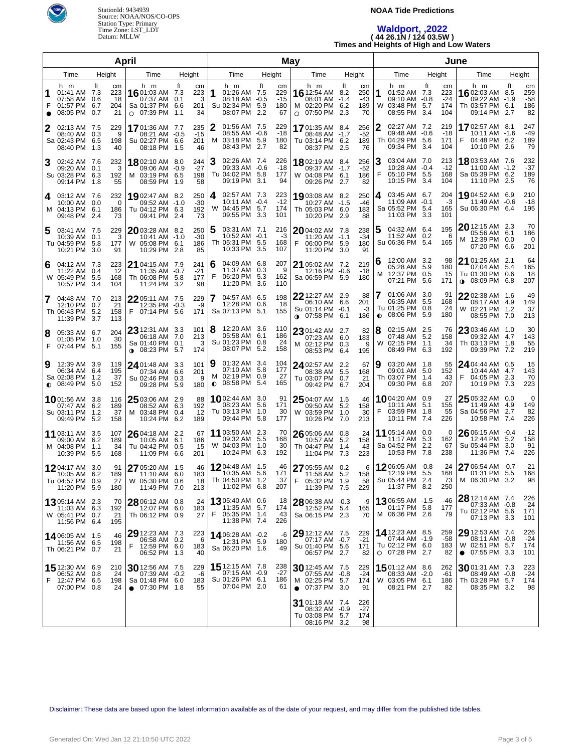

# **NOAA Tide Predictions**

### **Waldport, ,2022 ( 44 26.1N / 124 03.5W ) Times and Heights of High and Low Waters**

| April                                                                                                                                                                                                                 |                                                        | May                                                                                                 |                                                                              | June                                       |                                                                                         |                                  |                                                                                   |                                       |
|-----------------------------------------------------------------------------------------------------------------------------------------------------------------------------------------------------------------------|--------------------------------------------------------|-----------------------------------------------------------------------------------------------------|------------------------------------------------------------------------------|--------------------------------------------|-----------------------------------------------------------------------------------------|----------------------------------|-----------------------------------------------------------------------------------|---------------------------------------|
| Time<br>Height<br>Height<br>Time                                                                                                                                                                                      | Time                                                   | Height                                                                                              | Time                                                                         | Height                                     | Time                                                                                    | Height                           | Time                                                                              | Height                                |
| ft<br>h m<br>ft<br>h m<br>cm<br>223<br>01:41 AM 7.3<br>16 01:03 AM 7.3<br>07:37 AM 0.1<br>07:58 AM<br>18<br>0.6<br>204<br>F<br>01:57 PM<br>6.7<br>Sa 01:37 PM 6.6<br>08:05 PM<br>0.7<br>21<br>07:39 PM 1.1<br>$\circ$ | h m<br>cm<br>223<br>1<br>3<br>201<br>Su 02:34 PM<br>34 | ft<br>cm<br>229<br>01:26 AM 7.5<br>$-15$<br>08:18 AM -0.5<br>180<br>5.9<br>08:07 PM 2.2<br>67       | h m<br>16 12:54 AM 8.2<br>08:01 AM -1.4<br>M 02:20 PM 6.2<br>07:50 PM<br>O   | ft<br>cm<br>250<br>-43<br>189<br>2.3<br>70 | ft<br>h m<br>1<br>01:52 AM 7.3<br>09:10 AM -0.8<br>W<br>03:48 PM 5.7<br>08:55 PM<br>3.4 | cm<br>223<br>$-24$<br>174<br>104 | h m<br><b>16</b> 02:03 AM 8.5<br>09:22 AM -1.9<br>Th 03:57 PM 6.1<br>09:14 PM 2.7 | ft<br>cm<br>259<br>$-58$<br>186<br>82 |
| 229<br>02:13 AM 7.5<br>1701:36 AM 7.7<br>08:40 AM<br>0.3<br>9<br>08:21 AM -0.5<br>Sa 02:43 PM<br>6.5<br>198<br>Su 02:27 PM 6.6<br>08:40 PM<br>08:18 PM<br>1.3<br>40<br>1.5                                            | 2<br>235<br>$-15$<br>м<br>201<br>46                    | 01:56 AM 7.5<br>229<br>$-18$<br>08:55 AM -0.6<br>03:18 PM 5.9<br>180<br>08:43 PM 2.7<br>82          | 1701:35 AM 8.4<br>08:48 AM -1.7<br>Tu 03:14 PM 6.2<br>08:37 PM               | 256<br>$-52$<br>189<br>2.5<br>76           | 2<br>02:27 AM 7.2<br>09:48 AM -0.6<br>Th 04:29 PM 5.6<br>09:34 PM<br>3.4                | 219<br>-18<br>171<br>104         | 1702:57 AM 8.1<br>10:11 AM -1.6<br>F<br>04:48 PM 6.2<br>10:10 PM 2.6              | 247<br>$-49$<br>189<br>79             |
| 02:42 AM 7.6<br>232<br>1802:10 AM 8.0<br>09:20 AM<br>0.1<br>3<br>09:06 AM -0.9<br>Su 03:28 PM<br>6.3<br>192<br>03:19 PM 6.5<br>M<br>09:14 PM<br>08:59 PM<br>1.8<br>55<br>1.9                                          | 3<br>244<br>$-27$<br>198<br>58                         | 02:26 AM 7.4<br>226<br>$-18$<br>09:33 AM -0.6<br>Tu 04:02 PM 5.8<br>177<br>09:19 PM 3.1<br>94       | 1802:19 AM 8.4<br>09:37 AM -1.7<br>W 04:08 PM 6.1<br>09:26 PM                | 256<br>$-52$<br>186<br>2.7<br>82           | 3<br>03:04 AM 7.0<br>10:28 AM -0.4<br>F<br>05:10 PM 5.5<br>10:15 PM 3.4                 | 213<br>$-12$<br>168<br>104       | <b>18</b> 03:53 AM 7.6<br>11:00 AM -1.2<br>Sa 05:39 PM 6.2<br>11:10 PM 2.5        | 232<br>$-37$<br>189<br>76             |
| 03:12 AM 7.6<br>232<br>1902:47 AM 8.2<br>4<br>10:00 AM<br>0.0<br>0<br>09:52 AM -1.0<br>M 04:13 PM<br>6.1<br>186<br>Tu 04:12 PM 6.3<br>09:48 PM<br>09:41 PM<br>2.4<br>-2.4<br>73                                       | 250<br>4<br>$-30$<br>192<br>73                         | 02:57 AM 7.3<br>223<br>$-12$<br>10:11 AM -0.4<br>W 04:45 PM 5.7<br>174<br>09:55 PM 3.3<br>101       | 1903:08 AM 8.2<br>10:27 AM -1.5<br>Th 05:03 PM 6.0<br>10:20 PM               | 250<br>$-46$<br>183<br>2.9<br>88           | 03:45 AM 6.7<br>4<br>11:09 AM -0.1<br>Sa 05:52 PM 5.4<br>11:03 PM 3.3                   | 204<br>-3<br>165<br>101          | 19 04:52 AM 6.9<br>11:49 AM -0.6<br>Su 06:30 PM 6.4                               | 210<br>$-18$<br>195                   |
| 03:41 AM 7.5<br>229<br>2003:28 AM 8.2<br>5<br>10:39 AM<br>0.1<br>3<br>10:41 AM -1.0<br>Tu 04:59 PM<br>5.8<br>177<br>05:08 PM 6.1<br>W<br>10:21 PM<br>10:29 PM<br>3.0<br>91<br>-2.8                                    | 250<br>$-30$<br>186<br>85                              | 03:31 AM 7.1<br>216<br>$10:52$ AM $-0.1$<br>-3<br>Th 05:31 PM 5.5<br>168<br>10:33 PM 3.5<br>107     | 2004:02 AM 7.8<br>$11:20$ AM $-1.1$<br>F<br>06:00 PM 5.9<br>11:20 PM         | 238<br>$-34$<br>180<br>91<br>3.0           | 5<br>04:32 AM 6.4<br>11:52 AM 0.2<br>Su 06:36 PM 5.4                                    | 195<br>-6<br>165                 | <b>20</b> 12:15 AM 2.3<br>05:56 AM 6.1<br>M 12:39 PM 0.0<br>07:20 PM 6.6          | 70<br>186<br>0<br>201                 |
| 04:12 AM 7.3<br>223<br>21 04:15 AM 7.9<br>6<br>12<br>11:22 AM<br>0.4<br>11:35 AM -0.7<br>W 05:49 PM<br>5.5<br>168<br>Th 06:08 PM 5.8<br>10:57 PM<br>11:24 PM<br>3.4<br>104<br>3.2                                     | 6<br>241<br>$-21$<br>F<br>177<br>98                    | 04:09 AM 6.8<br>207<br>9<br>11:37 AM 0.3<br>06:20 PM 5.3<br>162<br>11:20 PM 3.6<br>110              | 21 05:02 AM 7.2<br>12:16 PM -0.6<br>Sa 06:59 PM 5.9                          | 219<br>-18<br>180                          | 12:00 AM 3.2<br>6<br>05:28 AM 5.9<br>12:37 PM 0.5<br>M<br>07:21 PM 5.6                  | 98<br>180<br>15<br>171           | 21 01:25 AM 2.1<br>07:04 AM 5.4<br>Tu 01:30 PM 0.6<br>$0.08:09$ PM 6.8            | 64<br>165<br>18<br>207                |
| 22 05:11 AM 7.5<br>04:48 AM 7.0<br>213<br>12:35 PM -0.3<br>12:10 PM<br>0.7<br>21<br>Th 06:43 PM<br>5.2<br>158<br>F<br>07:14 PM 5.6<br>11:39 PM<br>3.7<br>113                                                          | 229<br>-9<br>171                                       | 198<br>04:57 AM 6.5<br>12:28 PM 0.6<br>18<br>Sa 07:13 PM 5.1<br>155                                 | 22 12:27 AM 2.9<br>06:10 AM 6.6<br>Su 01:14 PM -0.1<br><b>0</b> 07:58 PM 6.1 | 88<br>201<br>-3<br>186                     | 7<br>01:06 AM 3.0<br>06:35 AM 5.5<br>Tu 01:25 PM<br>0.8<br>$\bullet$ 08:06 PM 5.9       | 91<br>168<br>24<br>180           | 22 02:38 AM 1.6<br>08:17 AM 4.9<br>W 02:21 PM 1.2<br>08:55 PM 7.0                 | 49<br>149<br>37<br>213                |
| 23 12:31 AM 3.3<br>204<br>05:33 AM 6.7<br>8<br>06:18 AM 7.0<br>30<br>01:05 PM 1.0<br>Sa 01:40 PM 0.1<br>F 07:44 PM 5.1<br>155<br>08:23 PM 5.7<br>$\bullet$                                                            | 8<br>101<br>213<br>3<br>174                            | 12:20 AM 3.6<br>110<br>05:58 AM 6.1<br>186<br>Su 01:23 PM 0.8<br>24<br>08:07 PM 5.2<br>158          | 23 01:42 AM 2.7<br>07:23 AM 6.0<br>M 02:12 PM 0.3<br>08:53 PM 6.4            | 82<br>183<br>9<br>195                      | 8<br>02:15 AM 2.5<br>07:48 AM 5.2<br>02:15 PM 1.1<br>W<br>08:49 PM 6.3                  | 76<br>158<br>34<br>192           | 23 03:46 AM 1.0<br>09:32 AM 4.7<br>Th 03:13 PM 1.8<br>09:39 PM 7.2                | 30<br>143<br>55<br>219                |
| 12:39 AM 3.9<br>9<br>119<br>24 01:48 AM 3.3<br>06:34 AM<br>6.4<br>195<br>07:34 AM 6.6<br>37<br>Sa 02:08 PM<br>1.2<br>Su 02:46 PM 0.3<br>$\bullet$ 08:49 PM 5.0<br>152<br>09:28 PM 5.9                                 | 9<br>101<br>201<br>м<br>-9<br>0<br>180                 | 01:32 AM 3.4<br>104<br>07:10 AM 5.8<br>177<br>02:19 PM 0.9<br>27<br>08:58 PM 5.4<br>165             | 24 02:57 AM 2.2<br>08:38 AM 5.5<br>Tu 03:07 PM<br>09:42 PM 6.7               | 67<br>168<br>21<br>0.7<br>204              | 03:20 AM 1.8<br>9<br>09:01 AM 5.0<br>Th 03:07 PM<br>1.4<br>09:30 PM 6.8                 | 55<br>152<br>43<br>207           | 24 04:44 AM 0.5<br>10:44 AM 4.7<br>F<br>04:05 PM 2.3<br>10:19 PM 7.3              | 15<br>143<br>70<br>223                |
| 25 03:06 AM 2.9<br><b>10</b> 01:56 AM 3.8<br>116<br>07:47 AM 6.2<br>189<br>08:52 AM 6.3<br>Su 03:11 PM<br>37<br>03:48 PM 0.4<br>1.2<br>M<br>09:49 PM<br>10:24 PM 6.2<br>-5.2<br>158                                   | 88<br>192<br>12<br>189                                 | <b>10</b> 02:44 AM 3.0<br>91<br>08:23 AM 5.6<br>171<br>Tu 03:13 PM 1.0<br>30<br>09:44 PM 5.8<br>177 | 25 04:07 AM 1.5<br>09:50 AM<br>W 03:59 PM<br>10:26 PM 7.0                    | 46<br>5.2<br>158<br>30<br>1.0<br>213       | 1004:20 AM 0.9<br>10:11 AM 5.1<br>F<br>03:59 PM 1.8<br>10:11 PM 7.4                     | 27<br>155<br>55<br>226           | 25 05:32 AM 0.0<br>11:49 AM 4.9<br>Sa 04:56 PM 2.7<br>10:58 PM 7.4                | 0<br>149<br>82<br>226                 |
| 26 04:18 AM 2.2<br><b>11</b> 03:11 AM 3.5<br>107<br>09:00 AM<br>6.2<br>189<br>10:05 AM 6.1<br>M 04:08 PM<br>34<br>Tu 04:42 PM 0.5<br>1.1<br>11:09 PM 6.6<br>10:39 PM 5.5<br>168                                       | 67<br>186<br>15<br>201                                 | <b>11</b> 03:50 AM 2.3<br>70<br>09:32 AM 5.5<br>168<br>W 04:03 PM 1.0<br>30<br>10:24 PM 6.3<br>192  | 26 05:06 AM 0.8<br>10:57 AM<br>Th 04:47 PM<br>11:04 PM 7.3                   | 24<br>5.2<br>158<br>1.4<br>43<br>223       | <b>11</b> 05:14 AM 0.0<br>11:17 AM 5.3<br>Sa 04:52 PM<br>2.2<br>10:53 PM 7.8            | 0<br>162<br>67<br>238            | 26 06:15 AM -0.4<br>12:44 PM 5.2<br>Su 05:44 PM 3.0<br>11:36 PM 7.4               | $-12$<br>158<br>91<br>226             |
| 27 05:20 AM 1.5<br>1204:17 AM 3.0<br>91<br>189<br>11:10 AM 6.0<br>10:05 AM 6.2<br>Tu 04:57 PM 0.9<br>27<br>W 05:30 PM 0.6<br>11:20 PM 5.9<br>180<br>11:49 PM 7.0                                                      | 46<br>183<br>18<br>213                                 | 1204:48 AM 1.5<br>46<br>10:35 AM 5.6<br>171<br>Th 04:50 PM 1.2<br>37<br>11:02 PM 6.8<br>207         | 27 05:55 AM 0.2<br>11:58 AM 5.2<br>F<br>05:32 PM 1.9<br>11:39 PM 7.5         | 6<br>158<br>58<br>229                      | 1206:05 AM -0.8<br>12:19 PM 5.5<br>Su 05:44 PM 2.4<br>11:37 PM 8.2                      | -24<br>168<br>73<br>250          | 27 06:54 AM -0.7<br>01:31 PM 5.5<br>M 06:30 PM 3.2                                | $-21$<br>168<br>98                    |
| <b>13</b> 05:14 AM 2.3<br>28 06:12 AM 0.8<br>70<br>11:03 AM 6.3<br>192<br>12:07 PM 6.0<br>W 05:41 PM 0.7<br>21<br>Th 06:12 PM 0.9<br>11:56 PM 6.4<br>195                                                              | 24<br>183<br>F.<br>27                                  | 1305:40 AM 0.6<br>18<br>11:35 AM 5.7<br>174<br>05:35 PM 1.4<br>43<br>11:38 PM 7.4<br>226            | 28 06:38 AM -0.3<br>12:52 PM 5.4<br>Sa 06:15 PM 2.3                          | -9<br>165<br>70                            | 13 06:55 AM -1.5<br>01:17 PM 5.8<br>M 06:36 PM 2.6                                      | -46<br>177<br>79                 | $2812:14$ AM $7.4$<br>07:33 AM -0.8<br>Tu 02:12 PM 5.6<br>07:13 PM 3.3            | 226<br>$-24$<br>171<br>101            |
| 29 12:23 AM 7.3<br>14 06:05 AM 1.5<br>46<br>06:58 AM 0.2<br>11:56 AM 6.5<br>198<br>F<br>12:59 PM 6.0<br>Th 06:21 PM 0.7<br>21<br>06:52 PM 1.3                                                                         | 223<br>6<br>183<br>40                                  | 1406:28 AM -0.2<br>-6<br>12:31 PM 5.9<br>180<br>Sa 06:20 PM 1.6<br>49                               | 29 12:12 AM 7.5<br>07:17 AM -0.7<br>Su 01:40 PM 5.6<br>06:57 PM 2.7          | 229<br>$-21$<br>171<br>82                  | 14 12:23 AM 8.5<br>07:44 AM -1.9<br>Tu 02:12 PM 6.0<br>$O$ 07:28 PM 2.7                 | 259<br>-58<br>183<br>82          | $2912:53$ AM $7.4$<br>08:11 AM -0.8<br>W 02:51 PM 5.7<br>$\bullet$ 07:55 PM 3.3   | 226<br>$-24$<br>174<br>101            |
| 15 12:30 AM 6.9<br>30 12:56 AM 7.5<br>210<br>06:52 AM 0.8<br>24<br>07:39 AM -0.2<br>F<br>12:47 PM 6.5<br>198<br>Sa 01:48 PM 6.0<br>07:00 PM 0.8<br>24<br>$\bullet$ 07:30 PM 1.8                                       | 229<br>-6<br>183<br>55                                 | 15 12:15 AM 7.8<br>238<br>$-27$<br>07:15 AM -0.9<br>Su 01:26 PM 6.1<br>186<br>07:04 PM 2.0<br>61    | 30 12:45 AM 7.5<br>07:55 AM -0.8<br>M 02:25 PM 5.7<br>$\bullet$ 07:37 PM 3.0 | 229<br>-24<br>174<br>91                    | 1501:12 AM 8.6<br>08:33 AM -2.0<br>W 03:05 PM 6.1<br>08:21 PM 2.7                       | 262<br>-61<br>186<br>82          | <b>30</b> 01:31 AM 7.3<br>08:49 AM -0.8<br>Th 03:28 PM 5.7<br>08:35 PM 3.2        | 223<br>$-24$<br>174<br>98             |
|                                                                                                                                                                                                                       |                                                        |                                                                                                     | 31 01:18 AM 7.4<br>08:32 AM -0.9<br>Tu 03:08 PM 5.7<br>08:16 PM 3.2          | 226<br>$-27$<br>174<br>98                  |                                                                                         |                                  |                                                                                   |                                       |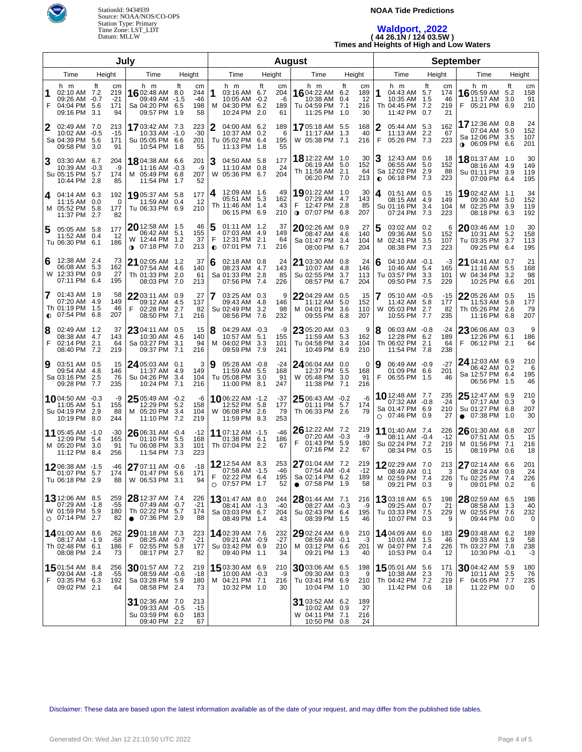

#### **NOAA Tide Predictions**

# **Waldport, ,2022 ( 44 26.1N / 124 03.5W ) Times and Heights of High and Low Waters**

| July                             |                                                                        |                                                     |                                                                                | <b>August</b>                                |                     |                                                                            |           |                              | <b>September</b>                                                              |                                              |        |                                                                              |                                    |                                                                              |                              |   |
|----------------------------------|------------------------------------------------------------------------|-----------------------------------------------------|--------------------------------------------------------------------------------|----------------------------------------------|---------------------|----------------------------------------------------------------------------|-----------|------------------------------|-------------------------------------------------------------------------------|----------------------------------------------|--------|------------------------------------------------------------------------------|------------------------------------|------------------------------------------------------------------------------|------------------------------|---|
| Time<br>Height<br>Height<br>Time |                                                                        |                                                     |                                                                                | Time                                         |                     | Height                                                                     | Time      | Height                       |                                                                               | Time                                         | Height | Time                                                                         | Height                             |                                                                              |                              |   |
| 1<br>F                           | h m<br>02:10 AM 7.2<br>09:26 AM -0.7<br>04:04 PM<br>09:16 PM           | ft<br>cm<br>219<br>$-21$<br>5.6<br>171<br>3.1<br>94 | h m<br>16 02:48 AM 8.0<br>09:49 AM -1.5<br>Sa 04:20 PM 6.5<br>09:57 PM         | ft<br>cm<br>244<br>-46<br>198<br>58<br>- 1.9 | 1                   | h m<br>03:16 AM 6.7<br>10:05 AM -0.2<br>M 04:30 PM 6.2<br>10:24 PM         | ft<br>2.0 | cm<br>204<br>-6<br>189<br>61 | h m<br>1604:22 AM 6.2<br>10:38 AM 0.4<br>Tu 04:59 PM 7.1<br>11:25 PM          | ft<br>cm<br>189<br>12<br>216<br>30<br>1.0    |        | h m<br>1<br>04:43 AM 5.7<br>10:35 AM 1.5<br>Th 04:45 PM 7.2<br>11:42 PM 0.7  | ft<br>cm<br>174<br>46<br>219<br>21 | h m<br>16 05:59 AM 5.2<br>11:17 AM 3.0<br>F<br>05:21 PM 6.9                  | ft<br>cm<br>158<br>91<br>210 |   |
|                                  | 02:49 AM 7.0<br>10:02 AM -0.5<br>Sa 04:39 PM<br>09:58 PM 3.0           | 213<br>$-15$<br>5.6<br>171<br>91                    | 1703:42 AM 7.3<br>10:33 AM -1.0<br>Su 05:05 PM 6.6<br>10:54 PM 1.8             | 223<br>$-30$<br>201<br>55                    | 2                   | 04:00 AM 6.2<br>10:37 AM 0.2<br>Tu 05:02 PM 6.4<br>11:13 PM                | 1.8       | 189<br>6<br>195<br>55        | 1705:18 AM 5.5<br>11:17 AM<br>W 05:38 PM 7.1                                  | 168<br>1.3<br>40<br>216                      |        | 2<br>05:44 AM 5.3<br>11:13 AM 2.2<br>F<br>05:26 PM 7.3                       | 162<br>67<br>223                   | 17 12:36 AM 0.8<br>07:04 AM 5.0<br>Sa 12:06 PM 3.5<br><b>⊕</b> 06:09 PM 6.6  | 24<br>152<br>107<br>201      |   |
| 3                                | 03:30 AM 6.7<br>10:39 AM -0.3<br>Su 05:15 PM 5.7<br>10:44 PM 2.8       | 204<br>-9<br>174<br>85                              | 18804:38 AM 6.6<br>11:16 AM -0.3<br>M 05:49 PM 6.8<br>11:54 PM                 | 201<br>-9<br>207<br>52<br>-1.7               | 3                   | 04:50 AM 5.8<br>11:10 AM 0.8<br>W 05:36 PM 6.7                             |           | 177<br>24<br>204             | 18 12:22 AM 1.0<br>06:19 AM 5.0<br>Th 11:58 AM 2.1<br>06:20 PM 7.0            | 30<br>152<br>64<br>213                       |        | 12:43 AM 0.6<br>06:55 AM 5.0<br>Sa 12:02 PM 2.9<br>06:18 PM 7.3<br>$\bullet$ | 18<br>152<br>88<br>223             | <b>18</b> 01:37 AM 1.0<br>08:16 AM 4.9<br>Su 01:11 PM 3.9<br>07:09 PM 6.4    | 30<br>149<br>119<br>195      |   |
| 4                                | 04:14 AM 6.3<br>11:15 AM<br>M 05:52 PM<br>11:37 PM 2.7                 | 192<br>0.0<br>0<br>-5.8<br>177<br>82                | 19 05:37 AM 5.8<br>11:59 AM 0.4<br>Tu 06:33 PM 6.9                             | 177<br>12<br>210                             | 4                   | 12:09 AM 1.6<br>05:51 AM 5.3<br>Th 11:46 AM 1.4<br>06:15 PM 6.9            |           | 49<br>162<br>43<br>210       | 1901:22 AM 1.0<br>07:29 AM 4.7<br>F<br>12:47 PM 2.8<br>$\bullet$ 07:07 PM 6.8 | 30<br>143<br>85<br>207                       |        | 01:51 AM 0.5<br>4<br>08:15 AM 4.9<br>Su 01:16 PM 3.4<br>07:24 PM 7.3         | 15<br>149<br>104<br>223            | 19 02:42 AM 1.1<br>09:30 AM 5.0<br>M 02:25 PM 3.9<br>08:18 PM 6.3            | 34<br>152<br>119<br>192      |   |
| 5                                | 05:05 AM 5.8<br>11:52 AM 0.4<br>Tu 06:30 PM 6.1                        | 177<br>12<br>186                                    | 20 12:58 AM 1.5<br>06:42 AM 5.1<br>W 12:44 PM 1.2<br>07:18 PM 7.0<br>$\bullet$ | 46<br>155<br>37<br>213                       | 5<br>F<br>$\bullet$ | 01:11 AM 1.2<br>07:03 AM 4.9<br>12:31 PM 2.1<br>07:01 PM 7.1               |           | 37<br>149<br>64<br>216       | $20$ 02:26 AM 0.9<br>08:47 AM 4.6<br>Sa 01:47 PM<br>08:00 PM 6.7              | 27<br>140<br>104<br>3.4<br>204               |        | 03:02 AM 0.2<br>5<br>09:36 AM 5.0<br>02:41 PM 3.5<br>м<br>08:38 PM 7.3       | 6<br>152<br>107<br>223             | 2003:46 AM 1.0<br>10:31 AM 5.2<br>Tu 03:35 PM 3.7<br>09:25 PM 6.4            | 30<br>158<br>113<br>195      |   |
| 6                                | 12:38 AM 2.4<br>06:08 AM 5.3<br>W 12:33 PM<br>07:11 PM                 | 73<br>162<br>0.9<br>27<br>195<br>6.4                | 21 02:05 AM 1.2<br>07:54 AM 4.6<br>Th 01:33 PM 2.0<br>08:03 PM 7.0             | 37<br>140<br>61<br>213                       | 6                   | 02:18 AM 0.8<br>08:23 AM 4.7<br>Sa 01:33 PM 2.8<br>07:56 PM 7.4            |           | 24<br>143<br>85<br>226       | 21 03:30 AM 0.8<br>10:07 AM<br>Su 02:55 PM<br>08:57 PM 6.7                    | 24<br>-4.8<br>146<br>113<br>3.7<br>204       |        | $04:10$ AM $-0.1$<br>6<br>10:46 AM 5.4<br>Tu 03:57 PM 3.3<br>09:50 PM 7.5    | -3<br>165<br>101<br>229            | 21 04:41 AM 0.7<br>11:16 AM 5.5<br>W 04:34 PM 3.2<br>10:25 PM 6.6            | 21<br>168<br>98<br>201       |   |
| 7                                | 01:43 AM 1.9<br>07:20 AM 4.9<br>Th 01:19 PM<br>$O$ 07:54 PM            | 58<br>149<br>- 1.5<br>46<br>207<br>6.8              | 22 03:11 AM 0.9<br>09:12 AM 4.5<br>F<br>02:28 PM 2.7<br>08:50 PM 7.1           | 27<br>137<br>82<br>216                       | 7                   | 03:25 AM 0.3<br>09:43 AM 4.8<br>Su 02:49 PM<br>08:56 PM 7.6                | 3.2       | 9<br>146<br>98<br>232        | 22 04:29 AM 0.5<br>11:12 AM<br>M 04:01 PM<br>09:55 PM                         | 15<br>5.0<br>152<br>3.6<br>110<br>6.8<br>207 |        | 7<br>05:10 AM -0.5<br>11:42 AM 5.8<br>05:03 PM 2.7<br>W<br>10:55 PM 7.7      | $-15$<br>177<br>82<br>235          | 22 05:26 AM 0.5<br>11:53 AM 5.8<br>Th 05:26 PM 2.6<br>11:16 PM 6.8           | 15<br>177<br>79<br>207       |   |
| 8<br>F                           | 02:49 AM 1.2<br>08:38 AM 4.7<br>02:14 PM<br>08:40 PM 7.2               | 37<br>143<br>2.1<br>64<br>219                       | 23 04:11 AM 0.5<br>10:30 AM 4.6<br>Sa 03:27 PM 3.1<br>09:37 PM 7.1             | 15<br>140<br>94<br>216                       | 8                   | 04:29 AM -0.3<br>10:57 AM 5.1<br>M 04:02 PM 3.3<br>09:59 PM 7.9            |           | -9<br>155<br>101<br>241      | 23 05:20 AM 0.3<br>11:59 AM<br>Tu 04:58 PM<br>10:49 PM                        | 5.3<br>162<br>104<br>3.4<br>6.9<br>210       | 9      | 8<br>06:03 AM -0.8<br>12:28 PM 6.2<br>Th 06:02 PM 2.1<br>11:54 PM 7.8        | -24<br>189<br>64<br>238            | 23 06:06 AM 0.3<br>12:26 PM 6.1<br>F<br>06:12 PM 2.1                         | 9<br>186<br>64               |   |
| 9                                | 03:51 AM 0.5<br>09:54 AM<br>Sa 03:16 PM<br>09:28 PM 7.7                | 15<br>-4.8<br>146<br>2.5<br>76<br>235               | 24 05:03 AM 0.1<br>11:37 AM 4.9<br>Su 04:26 PM 3.4<br>10:24 PM 7.1             | 3<br>149<br>104<br>216                       | 9                   | 05:28 AM -0.8<br>11:59 AM 5.5<br>Tu 05:08 PM 3.0<br>11:00 PM 8.1           |           | $-24$<br>168<br>91<br>247    | 24 06:04 AM 0.0<br>12:37 PM 5.5<br>W 05:48 PM<br>11:38 PM 7.1                 | 168<br>91<br>3.0<br>216                      | 0      | 06:49 AM -0.9<br>9<br>01:09 PM 6.6<br>F<br>06:55 PM 1.5                      | $-27$<br>201<br>46                 | 24 12:03 AM 6.9<br>06:42 AM 0.2<br>Sa 12:57 PM 6.4<br>06:56 PM 1.5           | 210<br>6<br>195<br>46        |   |
|                                  | 1004:50 AM -0.3<br>11:05 AM<br>Su 04:19 PM<br>10:19 PM 8.0             | -9<br>5.1<br>155<br>-2.9<br>88<br>244               | $25$ 05:49 AM -0.2<br>12:29 PM 5.2<br>M 05:20 PM 3.4<br>11:10 PM 7.2           | -6<br>158<br>104<br>219                      |                     | <b>10</b> 06:22 AM -1.2<br>12:52 PM 5.8<br>W 06:08 PM 2.6<br>11:59 PM 8.3  |           | -37<br>177<br>79<br>253      | $25$ 06:43 AM -0.2<br>01:11 PM<br>Th 06:33 PM 2.6                             | -6<br>5.7<br>174<br>79                       |        | 10 12:48 AM 7.7<br>07:32 AM -0.8<br>Sa 01:47 PM 6.9<br>$O$ 07:46 PM 0.9      | 235<br>$-24$<br>210<br>27          | 25 12:47 AM 6.9<br>07:17 AM 0.3<br>Su 01:27 PM 6.8<br>$\bullet$ 07:38 PM 1.0 | 210<br>9<br>207<br>30        |   |
|                                  | 11 05:45 AM -1.0<br>12:09 PM 5.4<br>M 05:20 PM<br>11:12 PM 8.4         | $-30$<br>165<br>91<br>- 3.0<br>256                  | 26 06:31 AM -0.4<br>01:10 PM 5.5<br>Tu 06:08 PM 3.3<br>11:54 PM 7.3            | $-12$<br>168<br>101<br>223                   |                     | 11 07:12 AM -1.5<br>01:38 PM 6.1<br>Th 07:04 PM 2.2                        |           | -46<br>186<br>67             | 26 12:22 AM 7.2<br>07:20 AM -0.3<br>F<br>01:43 PM<br>07:16 PM                 | 219<br>-9<br>5.9<br>180<br>2.2<br>67         |        | 11 01:40 AM 7.4<br>08:11 AM -0.4<br>Su 02:24 PM 7.2<br>08:34 PM 0.5          | 226<br>$-12$<br>219<br>15          | 26 01:30 AM 6.8<br>07:51 AM 0.5<br>M 01:56 PM 7.1<br>08:19 PM 0.6            | 207<br>15<br>216<br>18       |   |
|                                  | 1206:38 AM -1.5<br>01:07 PM<br>Tu 06:18 PM 2.9                         | -46<br>5.7<br>174<br>88                             | 27 07:11 AM -0.6<br>01:47 PM 5.6<br>W 06:53 PM 3.1                             | $-18$<br>171<br>94                           | F                   | <b>12</b> 12:54 AM 8.3<br>07:58 AM -1.5<br>02:22 PM 6.4<br>O 07:57 PM 1.7  |           | 253<br>-46<br>195<br>52      | 27 01:04 AM 7.2<br>07:54 AM -0.4<br>Sa 02:14 PM 6.2<br>$\bullet$ 07:58 PM 1.9 | 219<br>$-12$<br>189<br>58                    |        | 1202:29 AM 7.0<br>08:49 AM 0.1<br>M 02:59 PM 7.4<br>09:21 PM 0.3             | 213<br>3<br>9                      | 27 02:14 AM 6.6<br>08:24 AM 0.8<br>226   Tu 02:25 PM 7.4<br>09:01 PM 0.2     | 201<br>24<br>226             | 6 |
|                                  | 13 12:06 AM 8.5<br>07:29 AM -1.8<br>W 01:59 PM 5.9<br>$O$ 07:14 PM 2.7 | 259<br>-55<br>180<br>82                             | 28 12:37 AM 7.4<br>07:49 AM -0.7<br>Th 02:22 PM 5.7<br>$\bullet$ 07:36 PM 2.9  | 226<br>$-21$<br>174<br>88                    |                     | <b>13</b> 01:47 AM 8.0<br>08:41 AM -1.3<br>Sa 03:03 PM 6.7<br>08:49 PM 1.4 |           | 244<br>-40<br>204<br>43      | 28 01:44 AM 7.1<br>08:27 AM -0.3<br>Su 02:43 PM 6.4<br>08:39 PM 1.5           | 216<br>195<br>46                             | -9     | 1303:18 AM 6.5<br>09:25 AM 0.7<br>Tu 03:33 PM 7.5<br>10:07 PM 0.3            | 198<br>21<br>229<br>9              | 28 02:59 AM 6.5<br>08:58 AM 1.3<br>W 02:55 PM 7.6<br>09:44 PM 0.0            | 198<br>40<br>232<br>0        |   |
|                                  | 14 01:00 AM 8.6<br>08:17 AM -1.9<br>Th 02:48 PM 6.1<br>08:08 PM 2.4    | 262<br>-58<br>186<br>73                             | $2901:18$ AM $7.3$<br>08:25 AM -0.7<br>F<br>02:55 PM 5.8<br>08:17 PM 2.7       | 223<br>$-21$<br>177<br>82                    |                     | 14 02:39 AM 7.6<br>09:21 AM -0.9<br>Su 03:42 PM 6.9<br>09:40 PM 1.1        |           | 232<br>$-27$<br>210<br>34    | 29 02:24 AM 6.9<br>$08:59$ AM $-0.1$<br>M 03:12 PM 6.6<br>09:21 PM 1.3        | 210<br>-3<br>201<br>40                       |        | 14 04:09 AM 6.0<br>10:01 AM 1.5<br>W 04:07 PM 7.4<br>10:53 PM 0.4            | 183<br>46<br>226<br>12             | 29 03:48 AM 6.2<br>09:33 AM 1.9<br>Th 03:27 PM 7.8<br>10:30 PM -0.1          | 189<br>58<br>238<br>-3       |   |
| F                                | 1501:54 AM 8.4<br>09:04 AM -1.8<br>03:35 PM 6.3<br>09:02 PM 2.1        | 256<br>-55<br>192<br>64                             | $30$ 01:57 AM 7.2<br>08:59 AM -0.6<br>Sa 03:28 PM 5.9<br>08:58 PM 2.4          | 219<br>-18<br>180<br>73                      |                     | 15 03:30 AM 6.9<br>10:00 AM -0.3<br>M 04:21 PM 7.1<br>10:32 PM 1.0         |           | 210<br>-9<br>216<br>30       | 30 03:06 AM 6.5<br>09:30 AM 0.3<br>Tu 03:41 PM 6.9<br>10:04 PM 1.0            | 198<br>210<br>30                             | 9      | 1505:01 AM 5.6<br>10:38 AM 2.3<br>Th 04:42 PM 7.2<br>11:42 PM 0.6            | 171<br>70<br>219<br>18             | 3004:42 AM 5.9<br>10:11 AM 2.5<br>F<br>04:05 PM 7.7<br>11:22 PM 0.0          | 180<br>76<br>235             | 0 |
|                                  |                                                                        |                                                     | 31 02:36 AM 7.0<br>09:33 AM -0.5<br>Su 03:59 PM 6.0<br>09:40 PM 2.2            | 213<br>$-15$<br>183<br>67                    |                     |                                                                            |           |                              | 31 03:52 AM 6.2<br>10:02 AM<br>W 04:11 PM 7.1<br>10:50 PM 0.8                 | 189<br>27<br>0.9<br>216<br>24                |        |                                                                              |                                    |                                                                              |                              |   |